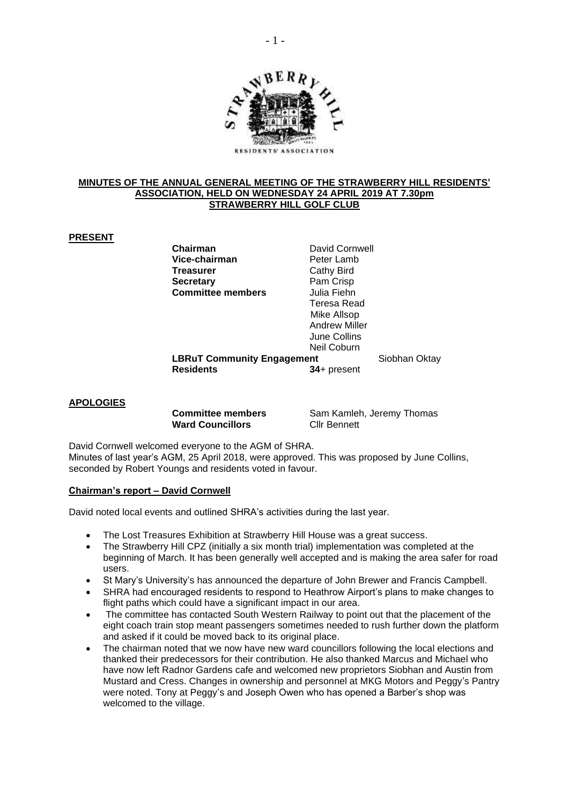

#### **MINUTES OF THE ANNUAL GENERAL MEETING OF THE STRAWBERRY HILL RESIDENTS' ASSOCIATION, HELD ON WEDNESDAY 24 APRIL 2019 AT 7.30pm STRAWBERRY HILL GOLF CLUB**

# **PRESENT**

**Vice-chairman** Peter Lamb **Treasurer** Cathy Bird **Secretary** Pam Crisp **Committee members** Julia Fiehn

**Chairman** David Cornwell Teresa Read Mike Allsop Andrew Miller June Collins Neil Coburn

**LBRuT Community Engagement** Siobhan Oktay **Residents 34**+ present

#### **APOLOGIES**

Ward Councillors **Cllr Bennett** 

**Committee members** Sam Kamleh, Jeremy Thomas

David Cornwell welcomed everyone to the AGM of SHRA. Minutes of last year's AGM, 25 April 2018, were approved. This was proposed by June Collins, seconded by Robert Youngs and residents voted in favour.

## **Chairman's report – David Cornwell**

David noted local events and outlined SHRA's activities during the last year.

- The Lost Treasures Exhibition at Strawberry Hill House was a great success.
- The Strawberry Hill CPZ (initially a six month trial) implementation was completed at the beginning of March. It has been generally well accepted and is making the area safer for road users.
- St Mary's University's has announced the departure of John Brewer and Francis Campbell.
- SHRA had encouraged residents to respond to Heathrow Airport's plans to make changes to flight paths which could have a significant impact in our area.
- The committee has contacted South Western Railway to point out that the placement of the eight coach train stop meant passengers sometimes needed to rush further down the platform and asked if it could be moved back to its original place.
- The chairman noted that we now have new ward councillors following the local elections and thanked their predecessors for their contribution. He also thanked Marcus and Michael who have now left Radnor Gardens cafe and welcomed new proprietors Siobhan and Austin from Mustard and Cress. Changes in ownership and personnel at MKG Motors and Peggy's Pantry were noted. Tony at Peggy's and Joseph Owen who has opened a Barber's shop was welcomed to the village.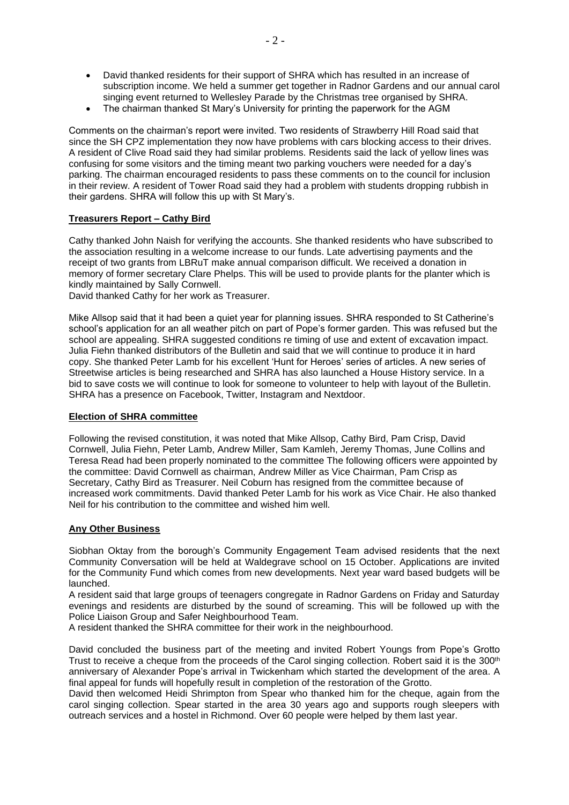- David thanked residents for their support of SHRA which has resulted in an increase of subscription income. We held a summer get together in Radnor Gardens and our annual carol singing event returned to Wellesley Parade by the Christmas tree organised by SHRA.
- The chairman thanked St Mary's University for printing the paperwork for the AGM

Comments on the chairman's report were invited. Two residents of Strawberry Hill Road said that since the SH CPZ implementation they now have problems with cars blocking access to their drives. A resident of Clive Road said they had similar problems. Residents said the lack of yellow lines was confusing for some visitors and the timing meant two parking vouchers were needed for a day's parking. The chairman encouraged residents to pass these comments on to the council for inclusion in their review. A resident of Tower Road said they had a problem with students dropping rubbish in their gardens. SHRA will follow this up with St Mary's.

# **Treasurers Report – Cathy Bird**

Cathy thanked John Naish for verifying the accounts. She thanked residents who have subscribed to the association resulting in a welcome increase to our funds. Late advertising payments and the receipt of two grants from LBRuT make annual comparison difficult. We received a donation in memory of former secretary Clare Phelps. This will be used to provide plants for the planter which is kindly maintained by Sally Cornwell.

David thanked Cathy for her work as Treasurer.

Mike Allsop said that it had been a quiet year for planning issues. SHRA responded to St Catherine's school's application for an all weather pitch on part of Pope's former garden. This was refused but the school are appealing. SHRA suggested conditions re timing of use and extent of excavation impact. Julia Fiehn thanked distributors of the Bulletin and said that we will continue to produce it in hard copy. She thanked Peter Lamb for his excellent 'Hunt for Heroes' series of articles. A new series of Streetwise articles is being researched and SHRA has also launched a House History service. In a bid to save costs we will continue to look for someone to volunteer to help with layout of the Bulletin. SHRA has a presence on Facebook, Twitter, Instagram and Nextdoor.

## **Election of SHRA committee**

Following the revised constitution, it was noted that Mike Allsop, Cathy Bird, Pam Crisp, David Cornwell, Julia Fiehn, Peter Lamb, Andrew Miller, Sam Kamleh, Jeremy Thomas, June Collins and Teresa Read had been properly nominated to the committee The following officers were appointed by the committee: David Cornwell as chairman, Andrew Miller as Vice Chairman, Pam Crisp as Secretary, Cathy Bird as Treasurer. Neil Coburn has resigned from the committee because of increased work commitments. David thanked Peter Lamb for his work as Vice Chair. He also thanked Neil for his contribution to the committee and wished him well.

## **Any Other Business**

Siobhan Oktay from the borough's Community Engagement Team advised residents that the next Community Conversation will be held at Waldegrave school on 15 October. Applications are invited for the Community Fund which comes from new developments. Next year ward based budgets will be launched.

A resident said that large groups of teenagers congregate in Radnor Gardens on Friday and Saturday evenings and residents are disturbed by the sound of screaming. This will be followed up with the Police Liaison Group and Safer Neighbourhood Team.

A resident thanked the SHRA committee for their work in the neighbourhood.

David concluded the business part of the meeting and invited Robert Youngs from Pope's Grotto Trust to receive a cheque from the proceeds of the Carol singing collection. Robert said it is the 300<sup>th</sup> anniversary of Alexander Pope's arrival in Twickenham which started the development of the area. A final appeal for funds will hopefully result in completion of the restoration of the Grotto.

David then welcomed Heidi Shrimpton from Spear who thanked him for the cheque, again from the carol singing collection. Spear started in the area 30 years ago and supports rough sleepers with outreach services and a hostel in Richmond. Over 60 people were helped by them last year.